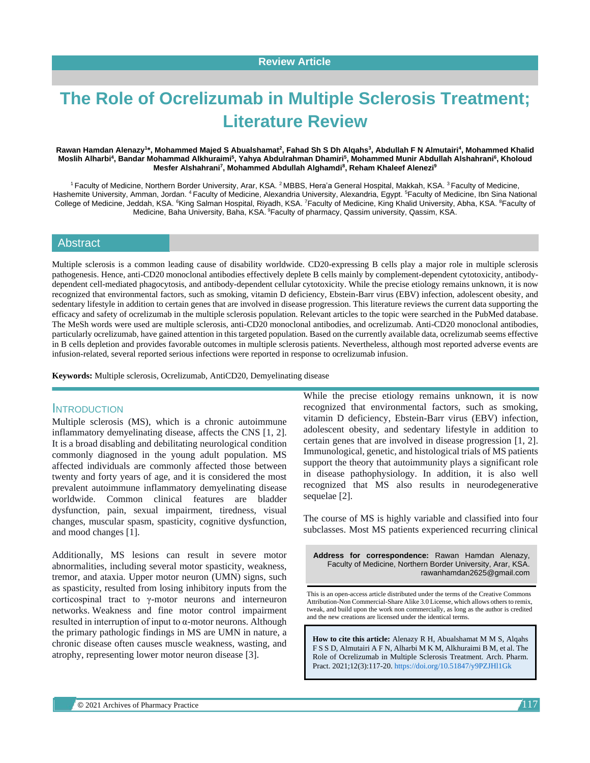# **The Role of Ocrelizumab in Multiple Sclerosis Treatment; Literature Review**

#### **Rawan Hamdan Alenazy<sup>1</sup> \*, Mohammed Majed S Abualshamat<sup>2</sup> , Fahad Sh S Dh Alqahs<sup>3</sup> , Abdullah F N Almutairi<sup>4</sup> , Mohammed Khalid Moslih Alharbi<sup>4</sup> , Bandar Mohammad Alkhuraimi<sup>5</sup> , Yahya Abdulrahman Dhamiri<sup>5</sup> , Mohammed Munir Abdullah Alshahrani<sup>6</sup> , Kholoud Mesfer Alshahrani<sup>7</sup> , Mohammed Abdullah Alghamdi<sup>8</sup> , Reham Khaleef Alenezi<sup>9</sup>**

<sup>1</sup> Faculty of Medicine, Northern Border University, Arar, KSA. <sup>2</sup> MBBS, Hera'a General Hospital, Makkah, KSA. <sup>3</sup> Faculty of Medicine, Hashemite University, Amman, Jordan. <sup>4</sup> Faculty of Medicine, Alexandria University, Alexandria, Egypt. <sup>5</sup>Faculty of Medicine, Ibn Sina National College of Medicine, Jeddah, KSA. <sup>6</sup>King Salman Hospital, Riyadh, KSA. <sup>7</sup>Faculty of Medicine, King Khalid University, Abha, KSA. <sup>8</sup>Faculty of Medicine, Baha University, Baha, KSA. <sup>9</sup>Faculty of pharmacy, Qassim university, Qassim, KSA.

#### **Abstract**

Multiple sclerosis is a common leading cause of disability worldwide. CD20-expressing B cells play a major role in multiple sclerosis pathogenesis. Hence, anti-CD20 monoclonal antibodies effectively deplete B cells mainly by complement-dependent cytotoxicity, antibodydependent cell-mediated phagocytosis, and antibody-dependent cellular cytotoxicity. While the precise etiology remains unknown, it is now recognized that environmental factors, such as smoking, vitamin D deficiency, Ebstein-Barr virus (EBV) infection, adolescent obesity, and sedentary lifestyle in addition to certain genes that are involved in disease progression. This literature reviews the current data supporting the efficacy and safety of ocrelizumab in the multiple sclerosis population. Relevant articles to the topic were searched in the PubMed database. The MeSh words were used are multiple sclerosis, anti-CD20 monoclonal antibodies, and ocrelizumab. Anti-CD20 monoclonal antibodies, particularly ocrelizumab, have gained attention in this targeted population. Based on the currently available data, ocrelizumab seems effective in B cells depletion and provides favorable outcomes in multiple sclerosis patients. Nevertheless, although most reported adverse events are infusion-related, several reported serious infections were reported in response to ocrelizumab infusion.

**Keywords:** Multiple sclerosis, Ocrelizumab, AntiCD20, Demyelinating disease

#### **INTRODUCTION**

Multiple sclerosis (MS), which is a chronic autoimmune inflammatory demyelinating disease, affects the CNS [1, 2]. It is a broad disabling and debilitating neurological condition commonly diagnosed in the young adult population. MS affected individuals are commonly affected those between twenty and forty years of age, and it is considered the most prevalent autoimmune inflammatory demyelinating disease worldwide. Common clinical features are bladder dysfunction, pain, sexual impairment, tiredness, visual changes, muscular spasm, spasticity, cognitive dysfunction, and mood changes [1].

Additionally, MS lesions can result in severe motor abnormalities, including several motor spasticity, weakness, tremor, and ataxia. Upper motor neuron (UMN) signs, such as spasticity, resulted from losing inhibitory inputs from the corticospinal tract to γ-motor neurons and interneuron networks. Weakness and fine motor control impairment resulted in interruption of input to α-motor neurons. Although the primary pathologic findings in MS are UMN in nature, a chronic disease often causes muscle weakness, wasting, and atrophy, representing lower motor neuron disease [3].

While the precise etiology remains unknown, it is now recognized that environmental factors, such as smoking, vitamin D deficiency, Ebstein-Barr virus (EBV) infection, adolescent obesity, and sedentary lifestyle in addition to certain genes that are involved in disease progression [1, 2]. Immunological, genetic, and histological trials of MS patients support the theory that autoimmunity plays a significant role in disease pathophysiology. In addition, it is also well recognized that MS also results in neurodegenerative sequelae [2].

The course of MS is highly variable and classified into four subclasses. Most MS patients experienced recurring clinical

**Address for correspondence:** Rawan Hamdan Alenazy, Faculty of Medicine, Northern Border University, Arar, KSA. rawanhamdan2625@gmail.com

This is an open-access article distributed under the terms of the Creative Commons Attribution-Non Commercial-Share Alike 3.0 License, which allows others to remix, tweak, and build upon the work non commercially, as long as the author is credited and the new creations are licensed under the identical terms.

**How to cite this article:** Alenazy R H, Abualshamat M M S, Alqahs F S S D, Almutairi A F N, Alharbi M K M, Alkhuraimi B M, et al. The Role of Ocrelizumab in Multiple Sclerosis Treatment. Arch. Pharm. Pract. 2021;12(3):117-20. <https://doi.org/10.51847/y9PZJHl1Gk>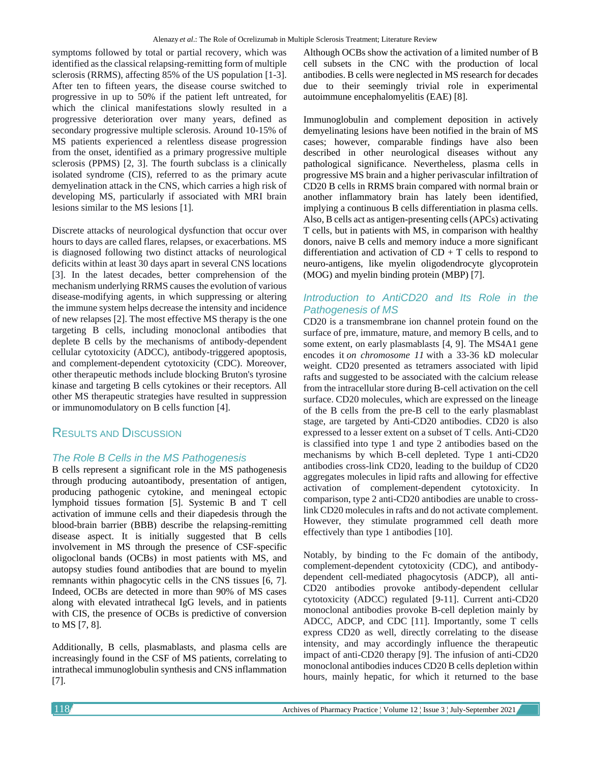symptoms followed by total or partial recovery, which was identified as the classical relapsing-remitting form of multiple sclerosis (RRMS), affecting 85% of the US population [1-3]. After ten to fifteen years, the disease course switched to progressive in up to 50% if the patient left untreated, for which the clinical manifestations slowly resulted in a progressive deterioration over many years, defined as secondary progressive multiple sclerosis. Around 10-15% of MS patients experienced a relentless disease progression from the onset, identified as a primary progressive multiple sclerosis (PPMS) [2, 3]. The fourth subclass is a clinically isolated syndrome (CIS), referred to as the primary acute demyelination attack in the CNS, which carries a high risk of developing MS, particularly if associated with MRI brain lesions similar to the MS lesions [1].

Discrete attacks of neurological dysfunction that occur over hours to days are called flares, relapses, or exacerbations. MS is diagnosed following two distinct attacks of neurological deficits within at least 30 days apart in several CNS locations [3]. In the latest decades, better comprehension of the mechanism underlying RRMS causes the evolution of various disease-modifying agents, in which suppressing or altering the immune system helps decrease the intensity and incidence of new relapses [2]. The most effective MS therapy is the one targeting B cells, including monoclonal antibodies that deplete B cells by the mechanisms of antibody-dependent cellular cytotoxicity (ADCC), antibody-triggered apoptosis, and complement-dependent cytotoxicity (CDC). Moreover, other therapeutic methods include blocking Bruton's tyrosine kinase and targeting B cells cytokines or their receptors. All other MS therapeutic strategies have resulted in suppression or immunomodulatory on B cells function [4].

## RESULTS AND DISCUSSION

### *The Role B Cells in the MS Pathogenesis*

B cells represent a significant role in the MS pathogenesis through producing autoantibody, presentation of antigen, producing pathogenic cytokine, and meningeal ectopic lymphoid tissues formation [5]. Systemic B and T cell activation of immune cells and their diapedesis through the blood-brain barrier (BBB) describe the relapsing-remitting disease aspect. It is initially suggested that B cells involvement in MS through the presence of CSF-specific oligoclonal bands (OCBs) in most patients with MS, and autopsy studies found antibodies that are bound to myelin remnants within phagocytic cells in the CNS tissues [6, 7]. Indeed, OCBs are detected in more than 90% of MS cases along with elevated intrathecal IgG levels, and in patients with CIS, the presence of OCBs is predictive of conversion to MS [7, 8].

Additionally, B cells, plasmablasts, and plasma cells are increasingly found in the CSF of MS patients, correlating to intrathecal immunoglobulin synthesis and CNS inflammation [7].

Although OCBs show the activation of a limited number of B cell subsets in the CNC with the production of local antibodies. B cells were neglected in MS research for decades due to their seemingly trivial role in experimental autoimmune encephalomyelitis (EAE) [8].

Immunoglobulin and complement deposition in actively demyelinating lesions have been notified in the brain of MS cases; however, comparable findings have also been described in other neurological diseases without any pathological significance. Nevertheless, plasma cells in progressive MS brain and a higher perivascular infiltration of CD20 B cells in RRMS brain compared with normal brain or another inflammatory brain has lately been identified, implying a continuous B cells differentiation in plasma cells. Also, B cells act as antigen-presenting cells (APCs) activating T cells, but in patients with MS, in comparison with healthy donors, naive B cells and memory induce a more significant differentiation and activation of  $CD + T$  cells to respond to neuro-antigens, like myelin oligodendrocyte glycoprotein (MOG) and myelin binding protein (MBP) [7].

#### *Introduction to AntiCD20 and Its Role in the Pathogenesis of MS*

CD20 is a transmembrane ion channel protein found on the surface of pre, immature, mature, and memory B cells, and to some extent, on early plasmablasts [4, 9]. The MS4A1 gene encodes it *on chromosome 11* with a 33-36 kD molecular weight. CD20 presented as tetramers associated with lipid rafts and suggested to be associated with the calcium release from the intracellular store during B-cell activation on the cell surface. CD20 molecules, which are expressed on the lineage of the B cells from the pre-B cell to the early plasmablast stage, are targeted by Anti-CD20 antibodies. CD20 is also expressed to a lesser extent on a subset of T cells. Anti-CD20 is classified into type 1 and type 2 antibodies based on the mechanisms by which B-cell depleted. Type 1 anti-CD20 antibodies cross-link CD20, leading to the buildup of CD20 aggregates molecules in lipid rafts and allowing for effective activation of complement-dependent cytotoxicity. In comparison, type 2 anti-CD20 antibodies are unable to crosslink CD20 molecules in rafts and do not activate complement. However, they stimulate programmed cell death more effectively than type 1 antibodies [10].

Notably, by binding to the Fc domain of the antibody, complement-dependent cytotoxicity (CDC), and antibodydependent cell-mediated phagocytosis (ADCP), all anti-CD20 antibodies provoke antibody-dependent cellular cytotoxicity (ADCC) regulated [9-11]. Current anti-CD20 monoclonal antibodies provoke B-cell depletion mainly by ADCC, ADCP, and CDC [11]. Importantly, some T cells express CD20 as well, directly correlating to the disease intensity, and may accordingly influence the therapeutic impact of anti-CD20 therapy [9]. The infusion of anti-CD20 monoclonal antibodies induces CD20 B cells depletion within hours, mainly hepatic, for which it returned to the base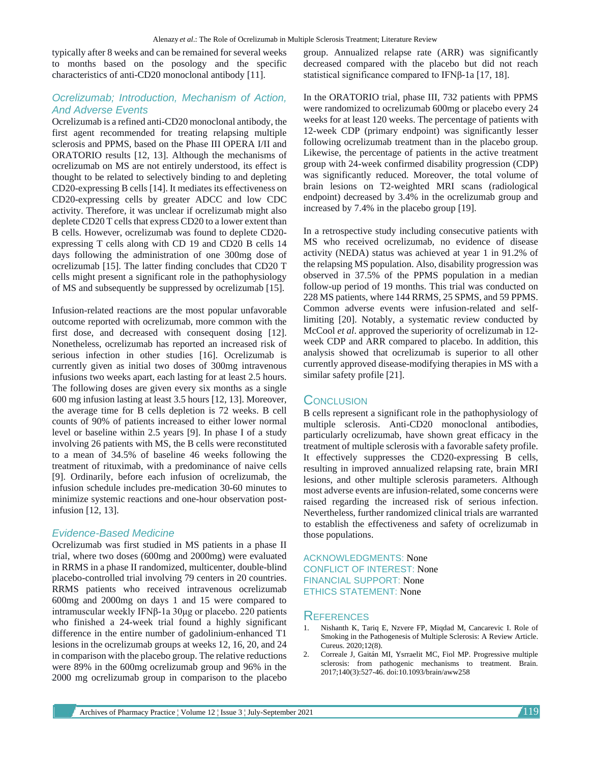typically after 8 weeks and can be remained for several weeks to months based on the posology and the specific characteristics of anti-CD20 monoclonal antibody [11].

#### *Ocrelizumab; Introduction, Mechanism of Action, And Adverse Events*

Ocrelizumab is a refined anti-CD20 monoclonal antibody, the first agent recommended for treating relapsing multiple sclerosis and PPMS, based on the Phase III OPERA I/II and ORATORIO results [12, 13]. Although the mechanisms of ocrelizumab on MS are not entirely understood, its effect is thought to be related to selectively binding to and depleting CD20-expressing B cells [14]. It mediates its effectiveness on CD20-expressing cells by greater ADCC and low CDC activity. Therefore, it was unclear if ocrelizumab might also deplete CD20 T cells that express CD20 to a lower extent than B cells. However, ocrelizumab was found to deplete CD20 expressing T cells along with CD 19 and CD20 B cells 14 days following the administration of one 300mg dose of ocrelizumab [15]. The latter finding concludes that CD20 T cells might present a significant role in the pathophysiology of MS and subsequently be suppressed by ocrelizumab [15].

Infusion-related reactions are the most popular unfavorable outcome reported with ocrelizumab, more common with the first dose, and decreased with consequent dosing [12]. Nonetheless, ocrelizumab has reported an increased risk of serious infection in other studies [16]. Ocrelizumab is currently given as initial two doses of 300mg intravenous infusions two weeks apart, each lasting for at least 2.5 hours. The following doses are given every six months as a single 600 mg infusion lasting at least 3.5 hours [12, 13]. Moreover, the average time for B cells depletion is 72 weeks. B cell counts of 90% of patients increased to either lower normal level or baseline within 2.5 years [9]. In phase I of a study involving 26 patients with MS, the B cells were reconstituted to a mean of 34.5% of baseline 46 weeks following the treatment of rituximab, with a predominance of naive cells [9]. Ordinarily, before each infusion of ocrelizumab, the infusion schedule includes pre-medication 30-60 minutes to minimize systemic reactions and one-hour observation postinfusion [12, 13].

#### *Evidence-Based Medicine*

Ocrelizumab was first studied in MS patients in a phase II trial, where two doses (600mg and 2000mg) were evaluated in RRMS in a phase II randomized, multicenter, double-blind placebo-controlled trial involving 79 centers in 20 countries. RRMS patients who received intravenous ocrelizumab 600mg and 2000mg on days 1 and 15 were compared to intramuscular weekly IFNβ-1a 30μg or placebo. 220 patients who finished a 24-week trial found a highly significant difference in the entire number of gadolinium-enhanced T1 lesions in the ocrelizumab groups at weeks 12, 16, 20, and 24 in comparison with the placebo group. The relative reductions were 89% in the 600mg ocrelizumab group and 96% in the 2000 mg ocrelizumab group in comparison to the placebo

group. Annualized relapse rate (ARR) was significantly decreased compared with the placebo but did not reach statistical significance compared to IFNβ-1a [17, 18].

In the ORATORIO trial, phase III, 732 patients with PPMS were randomized to ocrelizumab 600mg or placebo every 24 weeks for at least 120 weeks. The percentage of patients with 12-week CDP (primary endpoint) was significantly lesser following ocrelizumab treatment than in the placebo group. Likewise, the percentage of patients in the active treatment group with 24-week confirmed disability progression (CDP) was significantly reduced. Moreover, the total volume of brain lesions on T2-weighted MRI scans (radiological endpoint) decreased by 3.4% in the ocrelizumab group and increased by 7.4% in the placebo group [19].

In a retrospective study including consecutive patients with MS who received ocrelizumab, no evidence of disease activity (NEDA) status was achieved at year 1 in 91.2% of the relapsing MS population. Also, disability progression was observed in 37.5% of the PPMS population in a median follow-up period of 19 months. This trial was conducted on 228 MS patients, where 144 RRMS, 25 SPMS, and 59 PPMS. Common adverse events were infusion-related and selflimiting [20]. Notably, a systematic review conducted by McCool *et al*. approved the superiority of ocrelizumab in 12 week CDP and ARR compared to placebo. In addition, this analysis showed that ocrelizumab is superior to all other currently approved disease-modifying therapies in MS with a similar safety profile [21].

#### **CONCLUSION**

B cells represent a significant role in the pathophysiology of multiple sclerosis. Anti-CD20 monoclonal antibodies, particularly ocrelizumab, have shown great efficacy in the treatment of multiple sclerosis with a favorable safety profile. It effectively suppresses the CD20-expressing B cells, resulting in improved annualized relapsing rate, brain MRI lesions, and other multiple sclerosis parameters. Although most adverse events are infusion-related, some concerns were raised regarding the increased risk of serious infection. Nevertheless, further randomized clinical trials are warranted to establish the effectiveness and safety of ocrelizumab in those populations.

ACKNOWLEDGMENTS: None CONFLICT OF INTEREST: None FINANCIAL SUPPORT: None ETHICS STATEMENT: None

### **REFERENCES**

- 1. Nishanth K, Tariq E, Nzvere FP, Miqdad M, Cancarevic I. Role of Smoking in the Pathogenesis of Multiple Sclerosis: A Review Article. Cureus. 2020;12(8).
- 2. Correale J, Gaitán MI, Ysrraelit MC, Fiol MP. Progressive multiple sclerosis: from pathogenic mechanisms to treatment. Brain. 2017;140(3):527-46. doi:10.1093/brain/aww258